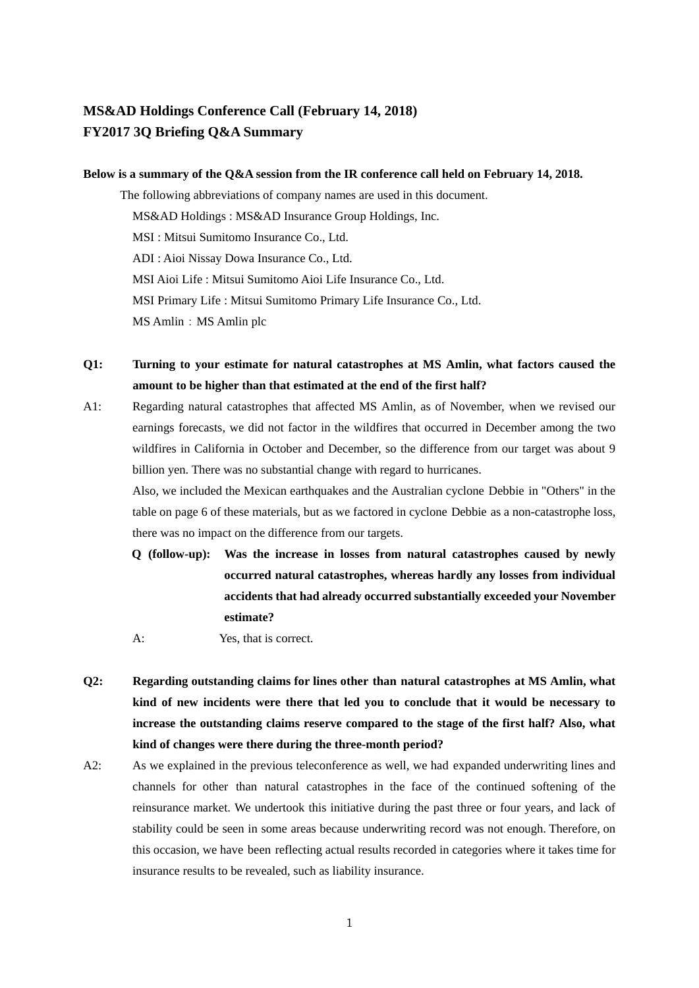# **MS&AD Holdings Conference Call (February 14, 2018) FY2017 3Q Briefing Q&A Summary**

### **Below is a summary of the Q&A session from the IR conference call held on February 14, 2018.**

The following abbreviations of company names are used in this document. MS&AD Holdings : MS&AD Insurance Group Holdings, Inc. MSI : Mitsui Sumitomo Insurance Co., Ltd. ADI : Aioi Nissay Dowa Insurance Co., Ltd. MSI Aioi Life : Mitsui Sumitomo Aioi Life Insurance Co., Ltd. MSI Primary Life : Mitsui Sumitomo Primary Life Insurance Co., Ltd. MS Amlin: MS Amlin plc

- **Q1: Turning to your estimate for natural catastrophes at MS Amlin, what factors caused the amount to be higher than that estimated at the end of the first half?**
- A1: Regarding natural catastrophes that affected MS Amlin, as of November, when we revised our earnings forecasts, we did not factor in the wildfires that occurred in December among the two wildfires in California in October and December, so the difference from our target was about 9 billion yen. There was no substantial change with regard to hurricanes.

Also, we included the Mexican earthquakes and the Australian cyclone Debbie in "Others" in the table on page 6 of these materials, but as we factored in cyclone Debbie as a non-catastrophe loss, there was no impact on the difference from our targets.

- **Q (follow-up): Was the increase in losses from natural catastrophes caused by newly occurred natural catastrophes, whereas hardly any losses from individual accidents that had already occurred substantially exceeded your November estimate?**
- A: Yes, that is correct.
- **Q2: Regarding outstanding claims for lines other than natural catastrophes at MS Amlin, what kind of new incidents were there that led you to conclude that it would be necessary to increase the outstanding claims reserve compared to the stage of the first half? Also, what kind of changes were there during the three-month period?**
- A2: As we explained in the previous teleconference as well, we had expanded underwriting lines and channels for other than natural catastrophes in the face of the continued softening of the reinsurance market. We undertook this initiative during the past three or four years, and lack of stability could be seen in some areas because underwriting record was not enough. Therefore, on this occasion, we have been reflecting actual results recorded in categories where it takes time for insurance results to be revealed, such as liability insurance.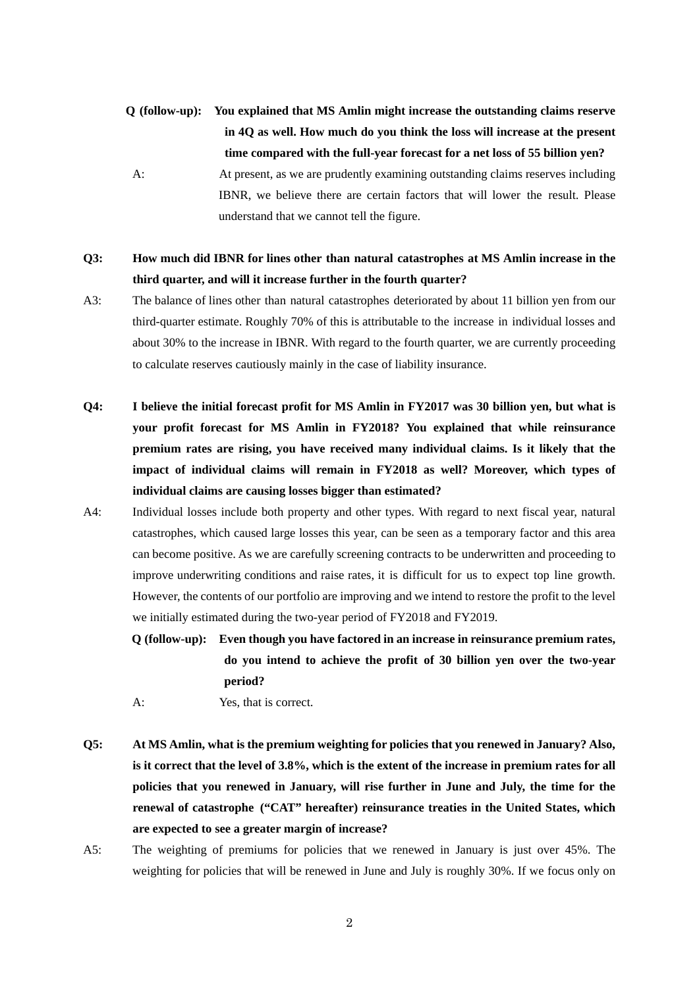- **Q (follow-up): You explained that MS Amlin might increase the outstanding claims reserve in 4Q as well. How much do you think the loss will increase at the present time compared with the full-year forecast for a net loss of 55 billion yen?**
- A: At present, as we are prudently examining outstanding claims reserves including IBNR, we believe there are certain factors that will lower the result. Please understand that we cannot tell the figure.
- **Q3: How much did IBNR for lines other than natural catastrophes at MS Amlin increase in the third quarter, and will it increase further in the fourth quarter?**
- A3: The balance of lines other than natural catastrophes deteriorated by about 11 billion yen from our third-quarter estimate. Roughly 70% of this is attributable to the increase in individual losses and about 30% to the increase in IBNR. With regard to the fourth quarter, we are currently proceeding to calculate reserves cautiously mainly in the case of liability insurance.
- **Q4: I believe the initial forecast profit for MS Amlin in FY2017 was 30 billion yen, but what is your profit forecast for MS Amlin in FY2018? You explained that while reinsurance premium rates are rising, you have received many individual claims. Is it likely that the impact of individual claims will remain in FY2018 as well? Moreover, which types of individual claims are causing losses bigger than estimated?**
- A4: Individual losses include both property and other types. With regard to next fiscal year, natural catastrophes, which caused large losses this year, can be seen as a temporary factor and this area can become positive. As we are carefully screening contracts to be underwritten and proceeding to improve underwriting conditions and raise rates, it is difficult for us to expect top line growth. However, the contents of our portfolio are improving and we intend to restore the profit to the level we initially estimated during the two-year period of FY2018 and FY2019.
	- **Q (follow-up): Even though you have factored in an increase in reinsurance premium rates, do you intend to achieve the profit of 30 billion yen over the two-year period?**
	- A: Yes, that is correct.
- **Q5: At MS Amlin, what is the premium weighting for policies that you renewed in January? Also, is it correct that the level of 3.8%, which is the extent of the increase in premium rates for all policies that you renewed in January, will rise further in June and July, the time for the renewal of catastrophe ("CAT" hereafter) reinsurance treaties in the United States, which are expected to see a greater margin of increase?**
- A5: The weighting of premiums for policies that we renewed in January is just over 45%. The weighting for policies that will be renewed in June and July is roughly 30%. If we focus only on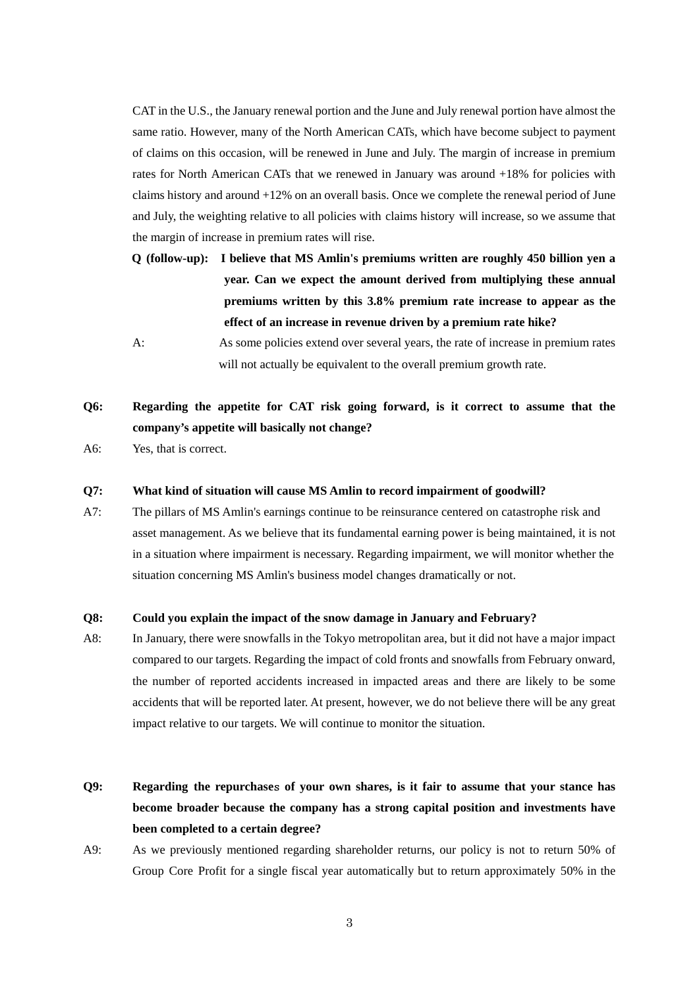CAT in the U.S., the January renewal portion and the June and July renewal portion have almost the same ratio. However, many of the North American CATs, which have become subject to payment of claims on this occasion, will be renewed in June and July. The margin of increase in premium rates for North American CATs that we renewed in January was around +18% for policies with claims history and around +12% on an overall basis. Once we complete the renewal period of June and July, the weighting relative to all policies with claims history will increase, so we assume that the margin of increase in premium rates will rise.

- **Q (follow-up): I believe that MS Amlin's premiums written are roughly 450 billion yen a year. Can we expect the amount derived from multiplying these annual premiums written by this 3.8% premium rate increase to appear as the effect of an increase in revenue driven by a premium rate hike?**
- A: As some policies extend over several years, the rate of increase in premium rates will not actually be equivalent to the overall premium growth rate.

# **Q6: Regarding the appetite for CAT risk going forward, is it correct to assume that the company's appetite will basically not change?**

A6: Yes, that is correct.

#### **Q7: What kind of situation will cause MS Amlin to record impairment of goodwill?**

A7: The pillars of MS Amlin's earnings continue to be reinsurance centered on catastrophe risk and asset management. As we believe that its fundamental earning power is being maintained, it is not in a situation where impairment is necessary. Regarding impairment, we will monitor whether the situation concerning MS Amlin's business model changes dramatically or not.

#### **Q8: Could you explain the impact of the snow damage in January and February?**

- A8: In January, there were snowfalls in the Tokyo metropolitan area, but it did not have a major impact compared to our targets. Regarding the impact of cold fronts and snowfalls from February onward, the number of reported accidents increased in impacted areas and there are likely to be some accidents that will be reported later. At present, however, we do not believe there will be any great impact relative to our targets. We will continue to monitor the situation.
- **Q9: Regarding the repurchase**s **of your own shares, is it fair to assume that your stance has become broader because the company has a strong capital position and investments have been completed to a certain degree?**
- A9: As we previously mentioned regarding shareholder returns, our policy is not to return 50% of Group Core Profit for a single fiscal year automatically but to return approximately 50% in the